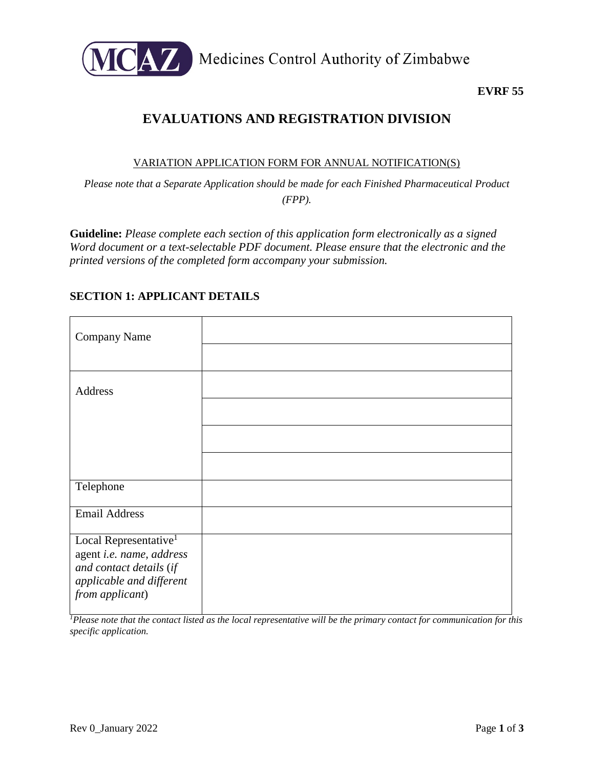

Medicines Control Authority of Zimbabwe

### **EVRF 55**

# **EVALUATIONS AND REGISTRATION DIVISION**

#### VARIATION APPLICATION FORM FOR ANNUAL NOTIFICATION(S)

*Please note that a Separate Application should be made for each Finished Pharmaceutical Product (FPP).*

**Guideline:** *Please complete each section of this application form electronically as a signed Word document or a text-selectable PDF document. Please ensure that the electronic and the printed versions of the completed form accompany your submission.* 

## **SECTION 1: APPLICANT DETAILS**

| Company Name                                                                                                                            |  |
|-----------------------------------------------------------------------------------------------------------------------------------------|--|
| Address                                                                                                                                 |  |
|                                                                                                                                         |  |
| Telephone                                                                                                                               |  |
|                                                                                                                                         |  |
| <b>Email Address</b>                                                                                                                    |  |
| Local Representative <sup>1</sup><br>agent i.e. name, address<br>and contact details (if<br>applicable and different<br>from applicant) |  |

*<sup>1</sup>Please note that the contact listed as the local representative will be the primary contact for communication for this specific application.*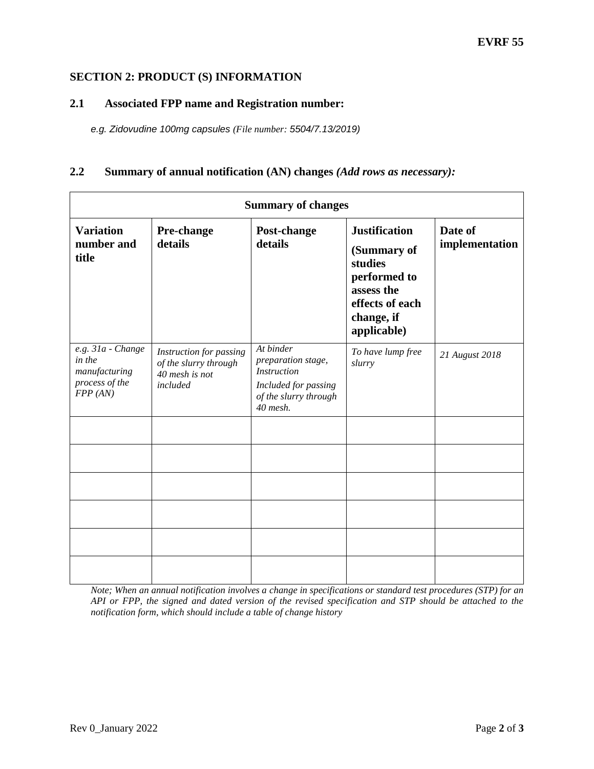#### **SECTION 2: PRODUCT (S) INFORMATION**

#### **2.1 Associated FPP name and Registration number:**

*e.g. Zidovudine 100mg capsules (File number: 5504/7.13/2019)*

#### **2.2 Summary of annual notification (AN) changes** *(Add rows as necessary):*

| <b>Summary of changes</b>                                                  |                                                                                |                                                                                                                    |                                                                                                                              |                           |  |  |  |
|----------------------------------------------------------------------------|--------------------------------------------------------------------------------|--------------------------------------------------------------------------------------------------------------------|------------------------------------------------------------------------------------------------------------------------------|---------------------------|--|--|--|
| <b>Variation</b><br>number and<br>title                                    | Pre-change<br>details                                                          | Post-change<br>details                                                                                             | <b>Justification</b><br>(Summary of<br>studies<br>performed to<br>assess the<br>effects of each<br>change, if<br>applicable) | Date of<br>implementation |  |  |  |
| e.g. 31a - Change<br>in the<br>manufacturing<br>process of the<br>FPP (AN) | Instruction for passing<br>of the slurry through<br>40 mesh is not<br>included | At binder<br>preparation stage,<br><b>Instruction</b><br>Included for passing<br>of the slurry through<br>40 mesh. | To have lump free<br>slurry                                                                                                  | 21 August 2018            |  |  |  |
|                                                                            |                                                                                |                                                                                                                    |                                                                                                                              |                           |  |  |  |
|                                                                            |                                                                                |                                                                                                                    |                                                                                                                              |                           |  |  |  |
|                                                                            |                                                                                |                                                                                                                    |                                                                                                                              |                           |  |  |  |
|                                                                            |                                                                                |                                                                                                                    |                                                                                                                              |                           |  |  |  |
|                                                                            |                                                                                |                                                                                                                    |                                                                                                                              |                           |  |  |  |
|                                                                            |                                                                                |                                                                                                                    |                                                                                                                              |                           |  |  |  |

*Note; When an annual notification involves a change in specifications or standard test procedures (STP) for an API or FPP, the signed and dated version of the revised specification and STP should be attached to the notification form, which should include a table of change history*